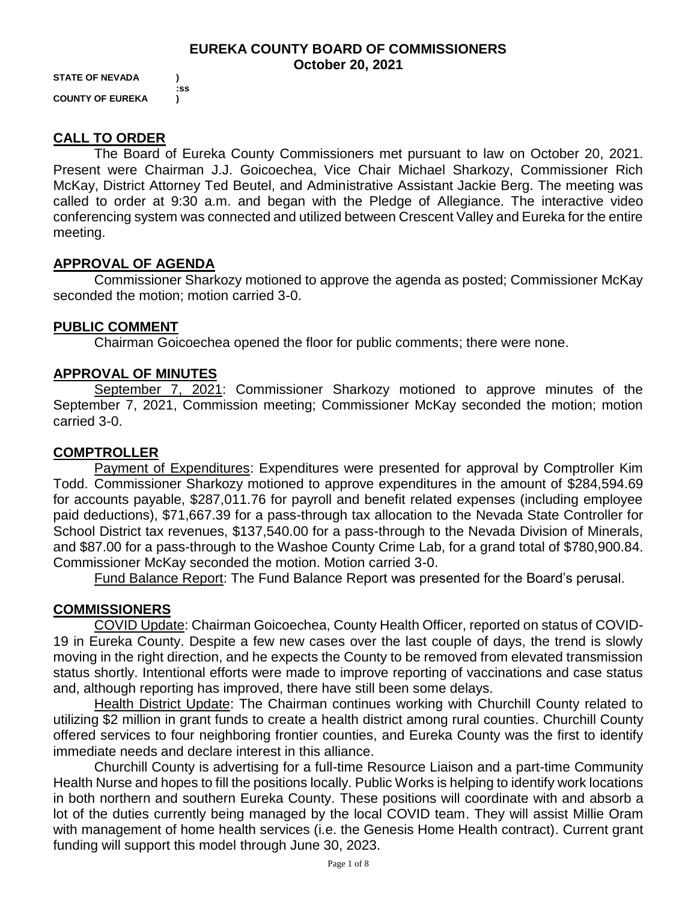#### **EUREKA COUNTY BOARD OF COMMISSIONERS October 20, 2021**

**STATE OF NEVADA ) :ss COUNTY OF EUREKA )**

# **CALL TO ORDER**

The Board of Eureka County Commissioners met pursuant to law on October 20, 2021. Present were Chairman J.J. Goicoechea, Vice Chair Michael Sharkozy, Commissioner Rich McKay, District Attorney Ted Beutel, and Administrative Assistant Jackie Berg. The meeting was called to order at 9:30 a.m. and began with the Pledge of Allegiance. The interactive video conferencing system was connected and utilized between Crescent Valley and Eureka for the entire meeting.

# **APPROVAL OF AGENDA**

Commissioner Sharkozy motioned to approve the agenda as posted; Commissioner McKay seconded the motion; motion carried 3-0.

# **PUBLIC COMMENT**

Chairman Goicoechea opened the floor for public comments; there were none.

# **APPROVAL OF MINUTES**

September 7, 2021: Commissioner Sharkozy motioned to approve minutes of the September 7, 2021, Commission meeting; Commissioner McKay seconded the motion; motion carried 3-0.

## **COMPTROLLER**

Payment of Expenditures: Expenditures were presented for approval by Comptroller Kim Todd. Commissioner Sharkozy motioned to approve expenditures in the amount of \$284,594.69 for accounts payable, \$287,011.76 for payroll and benefit related expenses (including employee paid deductions), \$71,667.39 for a pass-through tax allocation to the Nevada State Controller for School District tax revenues, \$137,540.00 for a pass-through to the Nevada Division of Minerals, and \$87.00 for a pass-through to the Washoe County Crime Lab, for a grand total of \$780,900.84. Commissioner McKay seconded the motion. Motion carried 3-0.

Fund Balance Report: The Fund Balance Report was presented for the Board's perusal.

# **COMMISSIONERS**

COVID Update: Chairman Goicoechea, County Health Officer, reported on status of COVID-19 in Eureka County. Despite a few new cases over the last couple of days, the trend is slowly moving in the right direction, and he expects the County to be removed from elevated transmission status shortly. Intentional efforts were made to improve reporting of vaccinations and case status and, although reporting has improved, there have still been some delays.

Health District Update: The Chairman continues working with Churchill County related to utilizing \$2 million in grant funds to create a health district among rural counties. Churchill County offered services to four neighboring frontier counties, and Eureka County was the first to identify immediate needs and declare interest in this alliance.

Churchill County is advertising for a full-time Resource Liaison and a part-time Community Health Nurse and hopes to fill the positions locally. Public Works is helping to identify work locations in both northern and southern Eureka County. These positions will coordinate with and absorb a lot of the duties currently being managed by the local COVID team. They will assist Millie Oram with management of home health services (i.e. the Genesis Home Health contract). Current grant funding will support this model through June 30, 2023.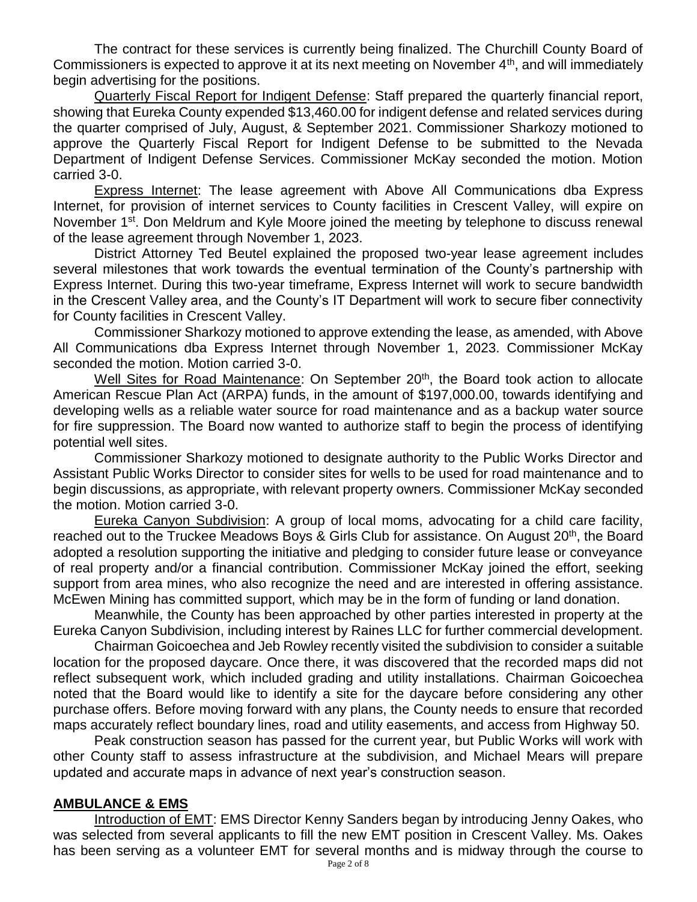The contract for these services is currently being finalized. The Churchill County Board of Commissioners is expected to approve it at its next meeting on November  $4<sup>th</sup>$ , and will immediately begin advertising for the positions.

Quarterly Fiscal Report for Indigent Defense: Staff prepared the quarterly financial report, showing that Eureka County expended \$13,460.00 for indigent defense and related services during the quarter comprised of July, August, & September 2021. Commissioner Sharkozy motioned to approve the Quarterly Fiscal Report for Indigent Defense to be submitted to the Nevada Department of Indigent Defense Services. Commissioner McKay seconded the motion. Motion carried 3-0.

Express Internet: The lease agreement with Above All Communications dba Express Internet, for provision of internet services to County facilities in Crescent Valley, will expire on November 1<sup>st</sup>. Don Meldrum and Kyle Moore joined the meeting by telephone to discuss renewal of the lease agreement through November 1, 2023.

District Attorney Ted Beutel explained the proposed two-year lease agreement includes several milestones that work towards the eventual termination of the County's partnership with Express Internet. During this two-year timeframe, Express Internet will work to secure bandwidth in the Crescent Valley area, and the County's IT Department will work to secure fiber connectivity for County facilities in Crescent Valley.

Commissioner Sharkozy motioned to approve extending the lease, as amended, with Above All Communications dba Express Internet through November 1, 2023. Commissioner McKay seconded the motion. Motion carried 3-0.

Well Sites for Road Maintenance: On September 20<sup>th</sup>, the Board took action to allocate American Rescue Plan Act (ARPA) funds, in the amount of \$197,000.00, towards identifying and developing wells as a reliable water source for road maintenance and as a backup water source for fire suppression. The Board now wanted to authorize staff to begin the process of identifying potential well sites.

Commissioner Sharkozy motioned to designate authority to the Public Works Director and Assistant Public Works Director to consider sites for wells to be used for road maintenance and to begin discussions, as appropriate, with relevant property owners. Commissioner McKay seconded the motion. Motion carried 3-0.

Eureka Canyon Subdivision: A group of local moms, advocating for a child care facility, reached out to the Truckee Meadows Boys & Girls Club for assistance. On August 20<sup>th</sup>, the Board adopted a resolution supporting the initiative and pledging to consider future lease or conveyance of real property and/or a financial contribution. Commissioner McKay joined the effort, seeking support from area mines, who also recognize the need and are interested in offering assistance. McEwen Mining has committed support, which may be in the form of funding or land donation.

Meanwhile, the County has been approached by other parties interested in property at the Eureka Canyon Subdivision, including interest by Raines LLC for further commercial development.

Chairman Goicoechea and Jeb Rowley recently visited the subdivision to consider a suitable location for the proposed daycare. Once there, it was discovered that the recorded maps did not reflect subsequent work, which included grading and utility installations. Chairman Goicoechea noted that the Board would like to identify a site for the daycare before considering any other purchase offers. Before moving forward with any plans, the County needs to ensure that recorded maps accurately reflect boundary lines, road and utility easements, and access from Highway 50.

Peak construction season has passed for the current year, but Public Works will work with other County staff to assess infrastructure at the subdivision, and Michael Mears will prepare updated and accurate maps in advance of next year's construction season.

## **AMBULANCE & EMS**

Introduction of EMT: EMS Director Kenny Sanders began by introducing Jenny Oakes, who was selected from several applicants to fill the new EMT position in Crescent Valley. Ms. Oakes has been serving as a volunteer EMT for several months and is midway through the course to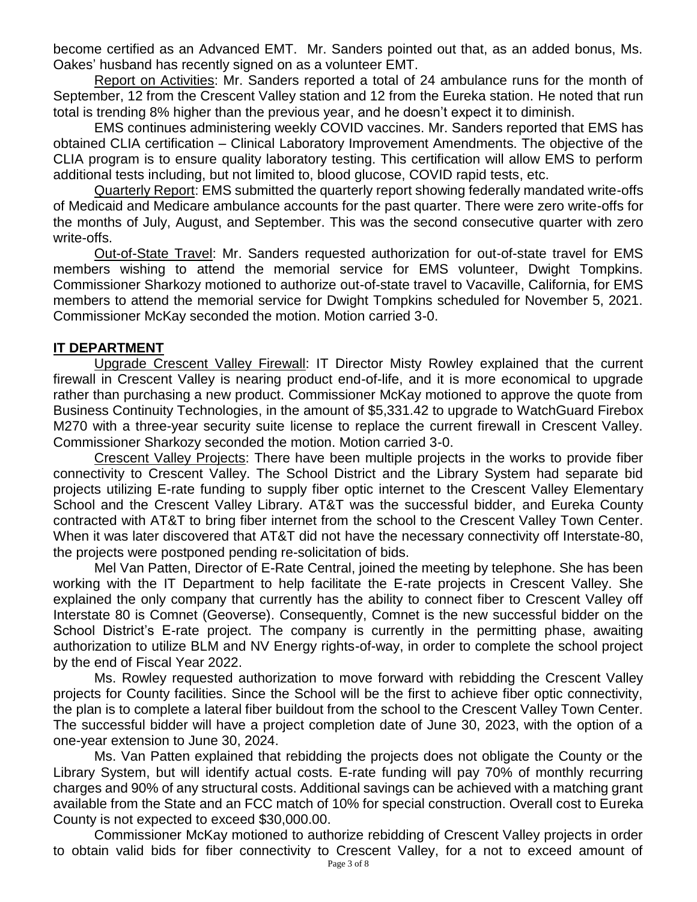become certified as an Advanced EMT. Mr. Sanders pointed out that, as an added bonus, Ms. Oakes' husband has recently signed on as a volunteer EMT.

Report on Activities: Mr. Sanders reported a total of 24 ambulance runs for the month of September, 12 from the Crescent Valley station and 12 from the Eureka station. He noted that run total is trending 8% higher than the previous year, and he doesn't expect it to diminish.

EMS continues administering weekly COVID vaccines. Mr. Sanders reported that EMS has obtained CLIA certification – Clinical Laboratory Improvement Amendments. The objective of the CLIA program is to ensure quality laboratory testing. This certification will allow EMS to perform additional tests including, but not limited to, blood glucose, COVID rapid tests, etc.

Quarterly Report: EMS submitted the quarterly report showing federally mandated write-offs of Medicaid and Medicare ambulance accounts for the past quarter. There were zero write-offs for the months of July, August, and September. This was the second consecutive quarter with zero write-offs.

Out-of-State Travel: Mr. Sanders requested authorization for out-of-state travel for EMS members wishing to attend the memorial service for EMS volunteer, Dwight Tompkins. Commissioner Sharkozy motioned to authorize out-of-state travel to Vacaville, California, for EMS members to attend the memorial service for Dwight Tompkins scheduled for November 5, 2021. Commissioner McKay seconded the motion. Motion carried 3-0.

#### **IT DEPARTMENT**

Upgrade Crescent Valley Firewall: IT Director Misty Rowley explained that the current firewall in Crescent Valley is nearing product end-of-life, and it is more economical to upgrade rather than purchasing a new product. Commissioner McKay motioned to approve the quote from Business Continuity Technologies, in the amount of \$5,331.42 to upgrade to WatchGuard Firebox M270 with a three-year security suite license to replace the current firewall in Crescent Valley. Commissioner Sharkozy seconded the motion. Motion carried 3-0.

Crescent Valley Projects: There have been multiple projects in the works to provide fiber connectivity to Crescent Valley. The School District and the Library System had separate bid projects utilizing E-rate funding to supply fiber optic internet to the Crescent Valley Elementary School and the Crescent Valley Library. AT&T was the successful bidder, and Eureka County contracted with AT&T to bring fiber internet from the school to the Crescent Valley Town Center. When it was later discovered that AT&T did not have the necessary connectivity off Interstate-80, the projects were postponed pending re-solicitation of bids.

Mel Van Patten, Director of E-Rate Central, joined the meeting by telephone. She has been working with the IT Department to help facilitate the E-rate projects in Crescent Valley. She explained the only company that currently has the ability to connect fiber to Crescent Valley off Interstate 80 is Comnet (Geoverse). Consequently, Comnet is the new successful bidder on the School District's E-rate project. The company is currently in the permitting phase, awaiting authorization to utilize BLM and NV Energy rights-of-way, in order to complete the school project by the end of Fiscal Year 2022.

Ms. Rowley requested authorization to move forward with rebidding the Crescent Valley projects for County facilities. Since the School will be the first to achieve fiber optic connectivity, the plan is to complete a lateral fiber buildout from the school to the Crescent Valley Town Center. The successful bidder will have a project completion date of June 30, 2023, with the option of a one-year extension to June 30, 2024.

Ms. Van Patten explained that rebidding the projects does not obligate the County or the Library System, but will identify actual costs. E-rate funding will pay 70% of monthly recurring charges and 90% of any structural costs. Additional savings can be achieved with a matching grant available from the State and an FCC match of 10% for special construction. Overall cost to Eureka County is not expected to exceed \$30,000.00.

Commissioner McKay motioned to authorize rebidding of Crescent Valley projects in order to obtain valid bids for fiber connectivity to Crescent Valley, for a not to exceed amount of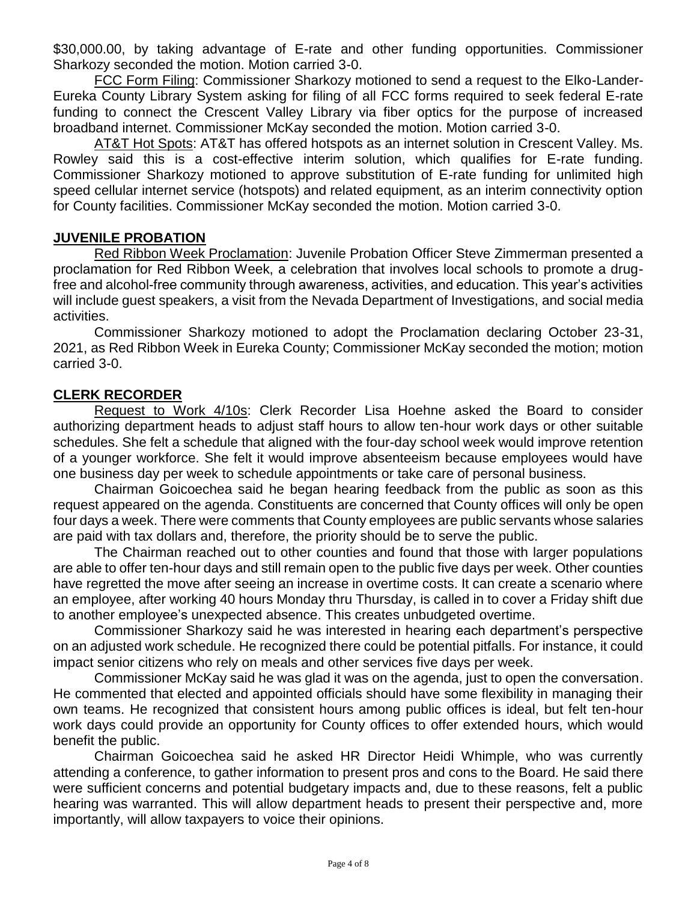\$30,000.00, by taking advantage of E-rate and other funding opportunities. Commissioner Sharkozy seconded the motion. Motion carried 3-0.

FCC Form Filing: Commissioner Sharkozy motioned to send a request to the Elko-Lander-Eureka County Library System asking for filing of all FCC forms required to seek federal E-rate funding to connect the Crescent Valley Library via fiber optics for the purpose of increased broadband internet. Commissioner McKay seconded the motion. Motion carried 3-0.

AT&T Hot Spots: AT&T has offered hotspots as an internet solution in Crescent Valley. Ms. Rowley said this is a cost-effective interim solution, which qualifies for E-rate funding. Commissioner Sharkozy motioned to approve substitution of E-rate funding for unlimited high speed cellular internet service (hotspots) and related equipment, as an interim connectivity option for County facilities. Commissioner McKay seconded the motion. Motion carried 3-0.

## **JUVENILE PROBATION**

Red Ribbon Week Proclamation: Juvenile Probation Officer Steve Zimmerman presented a proclamation for Red Ribbon Week, a celebration that involves local schools to promote a drugfree and alcohol-free community through awareness, activities, and education. This year's activities will include guest speakers, a visit from the Nevada Department of Investigations, and social media activities.

Commissioner Sharkozy motioned to adopt the Proclamation declaring October 23-31, 2021, as Red Ribbon Week in Eureka County; Commissioner McKay seconded the motion; motion carried 3-0.

## **CLERK RECORDER**

Request to Work 4/10s: Clerk Recorder Lisa Hoehne asked the Board to consider authorizing department heads to adjust staff hours to allow ten-hour work days or other suitable schedules. She felt a schedule that aligned with the four-day school week would improve retention of a younger workforce. She felt it would improve absenteeism because employees would have one business day per week to schedule appointments or take care of personal business.

Chairman Goicoechea said he began hearing feedback from the public as soon as this request appeared on the agenda. Constituents are concerned that County offices will only be open four days a week. There were comments that County employees are public servants whose salaries are paid with tax dollars and, therefore, the priority should be to serve the public.

The Chairman reached out to other counties and found that those with larger populations are able to offer ten-hour days and still remain open to the public five days per week. Other counties have regretted the move after seeing an increase in overtime costs. It can create a scenario where an employee, after working 40 hours Monday thru Thursday, is called in to cover a Friday shift due to another employee's unexpected absence. This creates unbudgeted overtime.

Commissioner Sharkozy said he was interested in hearing each department's perspective on an adjusted work schedule. He recognized there could be potential pitfalls. For instance, it could impact senior citizens who rely on meals and other services five days per week.

Commissioner McKay said he was glad it was on the agenda, just to open the conversation. He commented that elected and appointed officials should have some flexibility in managing their own teams. He recognized that consistent hours among public offices is ideal, but felt ten-hour work days could provide an opportunity for County offices to offer extended hours, which would benefit the public.

Chairman Goicoechea said he asked HR Director Heidi Whimple, who was currently attending a conference, to gather information to present pros and cons to the Board. He said there were sufficient concerns and potential budgetary impacts and, due to these reasons, felt a public hearing was warranted. This will allow department heads to present their perspective and, more importantly, will allow taxpayers to voice their opinions.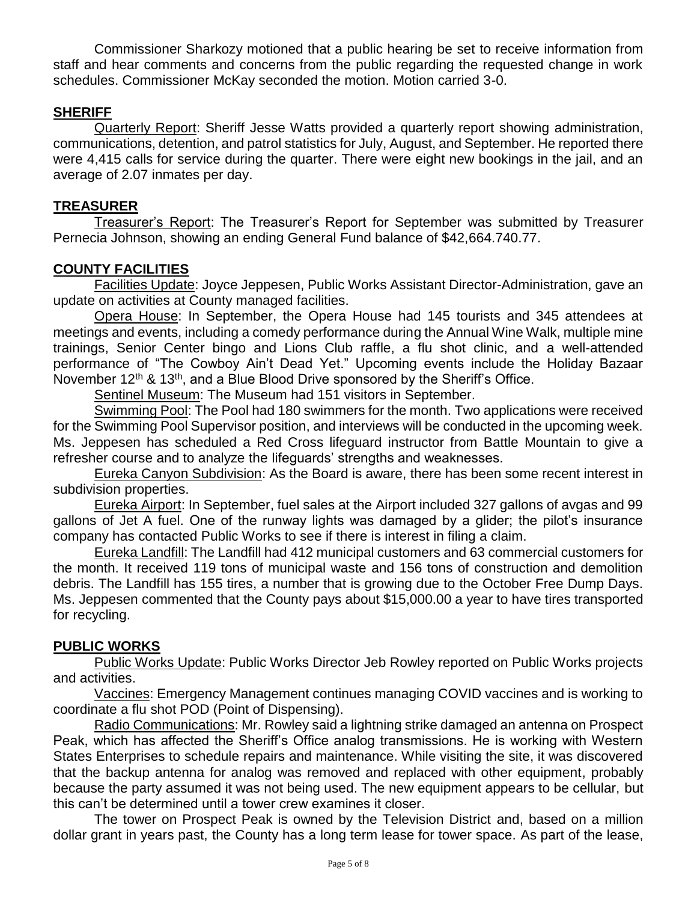Commissioner Sharkozy motioned that a public hearing be set to receive information from staff and hear comments and concerns from the public regarding the requested change in work schedules. Commissioner McKay seconded the motion. Motion carried 3-0.

# **SHERIFF**

Quarterly Report: Sheriff Jesse Watts provided a quarterly report showing administration, communications, detention, and patrol statistics for July, August, and September. He reported there were 4,415 calls for service during the quarter. There were eight new bookings in the jail, and an average of 2.07 inmates per day.

## **TREASURER**

Treasurer's Report: The Treasurer's Report for September was submitted by Treasurer Pernecia Johnson, showing an ending General Fund balance of \$42,664.740.77.

## **COUNTY FACILITIES**

Facilities Update: Joyce Jeppesen, Public Works Assistant Director-Administration, gave an update on activities at County managed facilities.

Opera House: In September, the Opera House had 145 tourists and 345 attendees at meetings and events, including a comedy performance during the Annual Wine Walk, multiple mine trainings, Senior Center bingo and Lions Club raffle, a flu shot clinic, and a well-attended performance of "The Cowboy Ain't Dead Yet." Upcoming events include the Holiday Bazaar November 12<sup>th</sup> & 13<sup>th</sup>, and a Blue Blood Drive sponsored by the Sheriff's Office.

Sentinel Museum: The Museum had 151 visitors in September.

Swimming Pool: The Pool had 180 swimmers for the month. Two applications were received for the Swimming Pool Supervisor position, and interviews will be conducted in the upcoming week. Ms. Jeppesen has scheduled a Red Cross lifeguard instructor from Battle Mountain to give a refresher course and to analyze the lifeguards' strengths and weaknesses.

Eureka Canyon Subdivision: As the Board is aware, there has been some recent interest in subdivision properties.

Eureka Airport: In September, fuel sales at the Airport included 327 gallons of avgas and 99 gallons of Jet A fuel. One of the runway lights was damaged by a glider; the pilot's insurance company has contacted Public Works to see if there is interest in filing a claim.

Eureka Landfill: The Landfill had 412 municipal customers and 63 commercial customers for the month. It received 119 tons of municipal waste and 156 tons of construction and demolition debris. The Landfill has 155 tires, a number that is growing due to the October Free Dump Days. Ms. Jeppesen commented that the County pays about \$15,000.00 a year to have tires transported for recycling.

## **PUBLIC WORKS**

Public Works Update: Public Works Director Jeb Rowley reported on Public Works projects and activities.

Vaccines: Emergency Management continues managing COVID vaccines and is working to coordinate a flu shot POD (Point of Dispensing).

Radio Communications: Mr. Rowley said a lightning strike damaged an antenna on Prospect Peak, which has affected the Sheriff's Office analog transmissions. He is working with Western States Enterprises to schedule repairs and maintenance. While visiting the site, it was discovered that the backup antenna for analog was removed and replaced with other equipment, probably because the party assumed it was not being used. The new equipment appears to be cellular, but this can't be determined until a tower crew examines it closer.

The tower on Prospect Peak is owned by the Television District and, based on a million dollar grant in years past, the County has a long term lease for tower space. As part of the lease,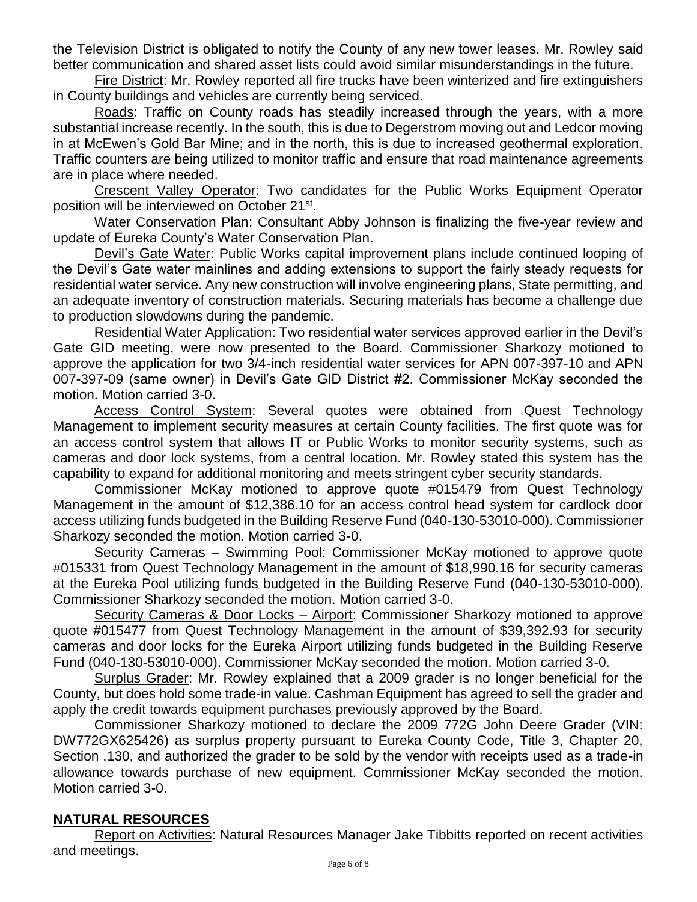the Television District is obligated to notify the County of any new tower leases. Mr. Rowley said better communication and shared asset lists could avoid similar misunderstandings in the future.

Fire District: Mr. Rowley reported all fire trucks have been winterized and fire extinguishers in County buildings and vehicles are currently being serviced.

Roads: Traffic on County roads has steadily increased through the years, with a more substantial increase recently. In the south, this is due to Degerstrom moving out and Ledcor moving in at McEwen's Gold Bar Mine; and in the north, this is due to increased geothermal exploration. Traffic counters are being utilized to monitor traffic and ensure that road maintenance agreements are in place where needed.

Crescent Valley Operator: Two candidates for the Public Works Equipment Operator position will be interviewed on October 21<sup>st</sup>.

Water Conservation Plan: Consultant Abby Johnson is finalizing the five-year review and update of Eureka County's Water Conservation Plan.

Devil's Gate Water: Public Works capital improvement plans include continued looping of the Devil's Gate water mainlines and adding extensions to support the fairly steady requests for residential water service. Any new construction will involve engineering plans, State permitting, and an adequate inventory of construction materials. Securing materials has become a challenge due to production slowdowns during the pandemic.

Residential Water Application: Two residential water services approved earlier in the Devil's Gate GID meeting, were now presented to the Board. Commissioner Sharkozy motioned to approve the application for two 3/4-inch residential water services for APN 007-397-10 and APN 007-397-09 (same owner) in Devil's Gate GID District #2. Commissioner McKay seconded the motion. Motion carried 3-0.

Access Control System: Several quotes were obtained from Quest Technology Management to implement security measures at certain County facilities. The first quote was for an access control system that allows IT or Public Works to monitor security systems, such as cameras and door lock systems, from a central location. Mr. Rowley stated this system has the capability to expand for additional monitoring and meets stringent cyber security standards.

Commissioner McKay motioned to approve quote #015479 from Quest Technology Management in the amount of \$12,386.10 for an access control head system for cardlock door access utilizing funds budgeted in the Building Reserve Fund (040-130-53010-000). Commissioner Sharkozy seconded the motion. Motion carried 3-0.

Security Cameras – Swimming Pool: Commissioner McKay motioned to approve quote #015331 from Quest Technology Management in the amount of \$18,990.16 for security cameras at the Eureka Pool utilizing funds budgeted in the Building Reserve Fund (040-130-53010-000). Commissioner Sharkozy seconded the motion. Motion carried 3-0.

Security Cameras & Door Locks – Airport: Commissioner Sharkozy motioned to approve quote #015477 from Quest Technology Management in the amount of \$39,392.93 for security cameras and door locks for the Eureka Airport utilizing funds budgeted in the Building Reserve Fund (040-130-53010-000). Commissioner McKay seconded the motion. Motion carried 3-0.

Surplus Grader: Mr. Rowley explained that a 2009 grader is no longer beneficial for the County, but does hold some trade-in value. Cashman Equipment has agreed to sell the grader and apply the credit towards equipment purchases previously approved by the Board.

Commissioner Sharkozy motioned to declare the 2009 772G John Deere Grader (VIN: DW772GX625426) as surplus property pursuant to Eureka County Code, Title 3, Chapter 20, Section .130, and authorized the grader to be sold by the vendor with receipts used as a trade-in allowance towards purchase of new equipment. Commissioner McKay seconded the motion. Motion carried 3-0.

## **NATURAL RESOURCES**

Report on Activities: Natural Resources Manager Jake Tibbitts reported on recent activities and meetings.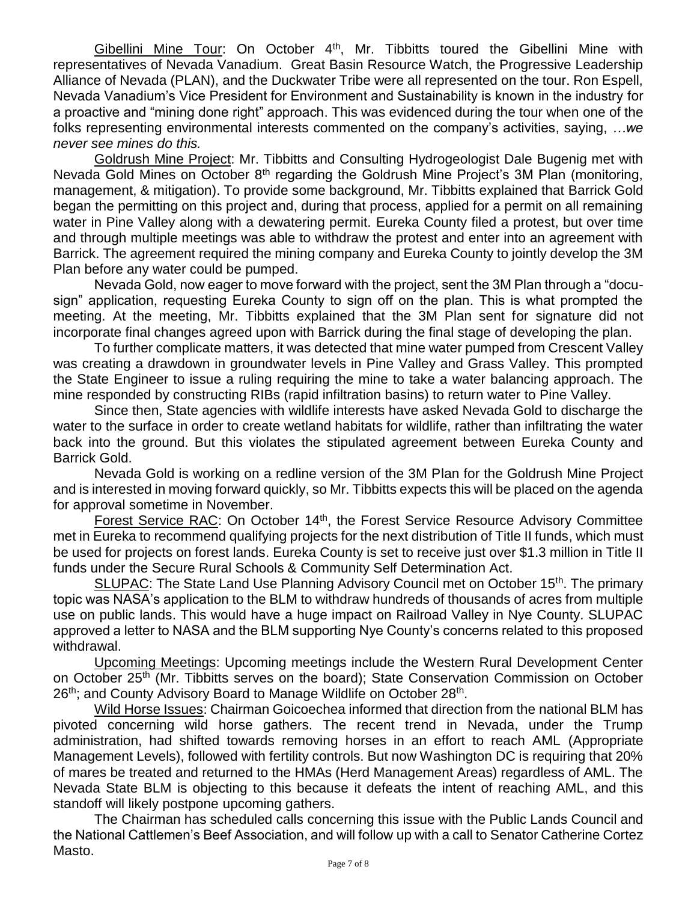Gibellini Mine Tour: On October 4<sup>th</sup>, Mr. Tibbitts toured the Gibellini Mine with representatives of Nevada Vanadium. Great Basin Resource Watch, the Progressive Leadership Alliance of Nevada (PLAN), and the Duckwater Tribe were all represented on the tour. Ron Espell, Nevada Vanadium's Vice President for Environment and Sustainability is known in the industry for a proactive and "mining done right" approach. This was evidenced during the tour when one of the folks representing environmental interests commented on the company's activities, saying, *…we never see mines do this.* 

Goldrush Mine Project: Mr. Tibbitts and Consulting Hydrogeologist Dale Bugenig met with Nevada Gold Mines on October  $8<sup>th</sup>$  regarding the Goldrush Mine Project's 3M Plan (monitoring, management, & mitigation). To provide some background, Mr. Tibbitts explained that Barrick Gold began the permitting on this project and, during that process, applied for a permit on all remaining water in Pine Valley along with a dewatering permit. Eureka County filed a protest, but over time and through multiple meetings was able to withdraw the protest and enter into an agreement with Barrick. The agreement required the mining company and Eureka County to jointly develop the 3M Plan before any water could be pumped.

Nevada Gold, now eager to move forward with the project, sent the 3M Plan through a "docusign" application, requesting Eureka County to sign off on the plan. This is what prompted the meeting. At the meeting, Mr. Tibbitts explained that the 3M Plan sent for signature did not incorporate final changes agreed upon with Barrick during the final stage of developing the plan.

To further complicate matters, it was detected that mine water pumped from Crescent Valley was creating a drawdown in groundwater levels in Pine Valley and Grass Valley. This prompted the State Engineer to issue a ruling requiring the mine to take a water balancing approach. The mine responded by constructing RIBs (rapid infiltration basins) to return water to Pine Valley.

Since then, State agencies with wildlife interests have asked Nevada Gold to discharge the water to the surface in order to create wetland habitats for wildlife, rather than infiltrating the water back into the ground. But this violates the stipulated agreement between Eureka County and Barrick Gold.

Nevada Gold is working on a redline version of the 3M Plan for the Goldrush Mine Project and is interested in moving forward quickly, so Mr. Tibbitts expects this will be placed on the agenda for approval sometime in November.

Forest Service RAC: On October 14<sup>th</sup>, the Forest Service Resource Advisory Committee met in Eureka to recommend qualifying projects for the next distribution of Title II funds, which must be used for projects on forest lands. Eureka County is set to receive just over \$1.3 million in Title II funds under the Secure Rural Schools & Community Self Determination Act.

SLUPAC: The State Land Use Planning Advisory Council met on October 15<sup>th</sup>. The primary topic was NASA's application to the BLM to withdraw hundreds of thousands of acres from multiple use on public lands. This would have a huge impact on Railroad Valley in Nye County. SLUPAC approved a letter to NASA and the BLM supporting Nye County's concerns related to this proposed withdrawal.

Upcoming Meetings: Upcoming meetings include the Western Rural Development Center on October 25<sup>th</sup> (Mr. Tibbitts serves on the board); State Conservation Commission on October 26<sup>th</sup>; and County Advisory Board to Manage Wildlife on October 28<sup>th</sup>.

Wild Horse Issues: Chairman Goicoechea informed that direction from the national BLM has pivoted concerning wild horse gathers. The recent trend in Nevada, under the Trump administration, had shifted towards removing horses in an effort to reach AML (Appropriate Management Levels), followed with fertility controls. But now Washington DC is requiring that 20% of mares be treated and returned to the HMAs (Herd Management Areas) regardless of AML. The Nevada State BLM is objecting to this because it defeats the intent of reaching AML, and this standoff will likely postpone upcoming gathers.

The Chairman has scheduled calls concerning this issue with the Public Lands Council and the National Cattlemen's Beef Association, and will follow up with a call to Senator Catherine Cortez Masto.